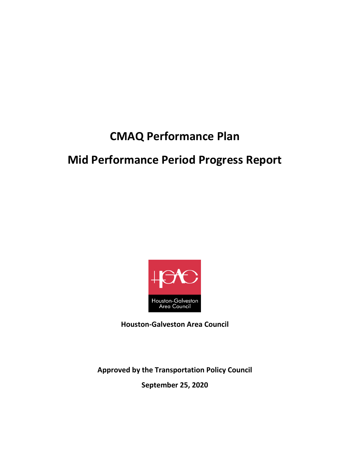# **CMAQ Performance Plan**

# **Mid Performance Period Progress Report**



**Houston-Galveston Area Council**

**Approved by the Transportation Policy Council**

**September 25, 2020**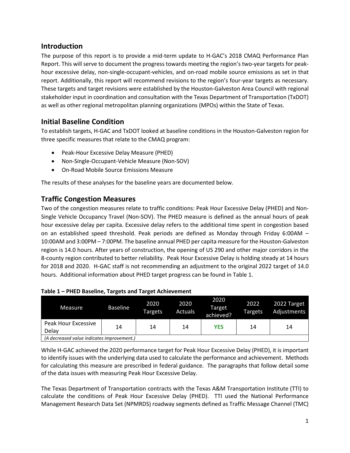#### **Introduction**

The purpose of this report is to provide a mid-term update to H-GAC's 2018 CMAQ Performance Plan Report. This will serve to document the progress towards meeting the region's two-year targets for peakhour excessive delay, non-single-occupant-vehicles, and on-road mobile source emissions as set in that report. Additionally, this report will recommend revisions to the region's four-year targets as necessary. These targets and target revisions were established by the Houston-Galveston Area Council with regional stakeholder input in coordination and consultation with the Texas Department of Transportation (TxDOT) as well as other regional metropolitan planning organizations (MPOs) within the State of Texas.

## **Initial Baseline Condition**

To establish targets, H-GAC and TxDOT looked at baseline conditions in the Houston-Galveston region for three specific measures that relate to the CMAQ program:

- Peak-Hour Excessive Delay Measure (PHED)
- Non-Single-Occupant-Vehicle Measure (Non-SOV)
- On-Road Mobile Source Emissions Measure

The results of these analyses for the baseline years are documented below.

## **Traffic Congestion Measures**

Two of the congestion measures relate to traffic conditions: Peak Hour Excessive Delay (PHED) and Non-Single Vehicle Occupancy Travel (Non-SOV). The PHED measure is defined as the annual hours of peak hour excessive delay per capita. Excessive delay refers to the additional time spent in congestion based on an established speed threshold. Peak periods are defined as Monday through Friday 6:00AM – 10:00AM and 3:00PM – 7:00PM. The baseline annual PHED per capita measure for the Houston-Galveston region is 14.0 hours. After years of construction, the opening of US 290 and other major corridors in the 8-county region contributed to better reliability. Peak Hour Excessive Delay is holding steady at 14 hours for 2018 and 2020. H-GAC staff is not recommending an adjustment to the original 2022 target of 14.0 hours. Additional information about PHED target progress can be found in Table 1.

| Measure                                    | <b>Baseline</b> | 2020<br>Targets | 2020<br><b>Actuals</b> | 2020<br><b>Target</b><br>achieved? | 2022<br><b>Targets</b> | 2022 Target<br>Adjustments |  |
|--------------------------------------------|-----------------|-----------------|------------------------|------------------------------------|------------------------|----------------------------|--|
| <b>Peak Hour Excessive</b>                 | 14              | 14              | 14                     | <b>YES</b>                         | 14                     | 14                         |  |
| Delay                                      |                 |                 |                        |                                    |                        |                            |  |
| (A decreased value indicates improvement.) |                 |                 |                        |                                    |                        |                            |  |

#### **Table 1 – PHED Baseline, Targets and Target Achievement**

While H-GAC achieved the 2020 performance target for Peak Hour Excessive Delay (PHED), it is important to identify issues with the underlying data used to calculate the performance and achievement. Methods for calculating this measure are prescribed in federal guidance. The paragraphs that follow detail some of the data issues with measuring Peak Hour Excessive Delay.

The Texas Department of Transportation contracts with the Texas A&M Transportation Institute (TTI) to calculate the conditions of Peak Hour Excessive Delay (PHED). TTI used the National Performance Management Research Data Set (NPMRDS) roadway segments defined as Traffic Message Channel (TMC)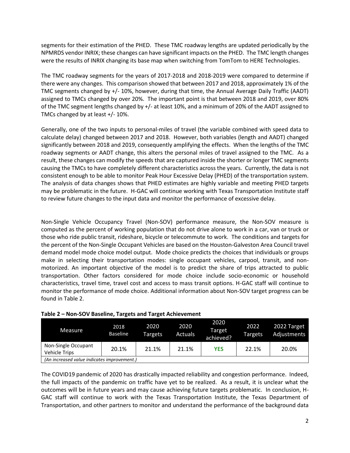segments for their estimation of the PHED. These TMC roadway lengths are updated periodically by the NPMRDS vendor INRIX; these changes can have significant impacts on the PHED. The TMC length changes were the results of INRIX changing its base map when switching from TomTom to HERE Technologies.

The TMC roadway segments for the years of 2017-2018 and 2018-2019 were compared to determine if there were any changes. This comparison showed that between 2017 and 2018, approximately 1% of the TMC segments changed by +/- 10%, however, during that time, the Annual Average Daily Traffic (AADT) assigned to TMCs changed by over 20%. The important point is that between 2018 and 2019, over 80% of the TMC segment lengths changed by +/- at least 10%, and a minimum of 20% of the AADT assigned to TMCs changed by at least +/- 10%.

Generally, one of the two inputs to personal-miles of travel (the variable combined with speed data to calculate delay) changed between 2017 and 2018. However, both variables (length and AADT) changed significantly between 2018 and 2019, consequently amplifying the effects. When the lengths of the TMC roadway segments or AADT change, this alters the personal miles of travel assigned to the TMC. As a result, these changes can modify the speeds that are captured inside the shorter or longer TMC segments causing the TMCs to have completely different characteristics across the years. Currently, the data is not consistent enough to be able to monitor Peak Hour Excessive Delay (PHED) of the transportation system. The analysis of data changes shows that PHED estimates are highly variable and meeting PHED targets may be problematic in the future. H-GAC will continue working with Texas Transportation Institute staff to review future changes to the input data and monitor the performance of excessive delay.

Non-Single Vehicle Occupancy Travel (Non-SOV) performance measure, the Non-SOV measure is computed as the percent of working population that do not drive alone to work in a car, van or truck or those who ride public transit, rideshare, bicycle or telecommute to work. The conditions and targets for the percent of the Non-Single Occupant Vehicles are based on the Houston-Galveston Area Council travel demand model mode choice model output. Mode choice predicts the choices that individuals or groups make in selecting their transportation modes: single occupant vehicles, carpool, transit, and nonmotorized. An important objective of the model is to predict the share of trips attracted to public transportation. Other factors considered for mode choice include socio-economic or household characteristics, travel time, travel cost and access to mass transit options. H-GAC staff will continue to monitor the performance of mode choice. Additional information about Non-SOV target progress can be found in Table 2.

| Measure                                     | 2018<br>Baseline | 2020<br>Targets | 2020<br>Actuals | 2020<br>Target<br>achieved? | 2022<br>Targets | 2022 Target<br>Adjustments |  |
|---------------------------------------------|------------------|-----------------|-----------------|-----------------------------|-----------------|----------------------------|--|
| Non-Single Occupant<br><b>Vehicle Trips</b> | 20.1%            | 21.1%           | 21.1%           | <b>YES</b>                  | 22.1%           | 20.0%                      |  |
| (An increased value indicates improvement.) |                  |                 |                 |                             |                 |                            |  |

#### **Table 2 – Non-SOV Baseline, Targets and Target Achievement**

The COVID19 pandemic of 2020 has drastically impacted reliability and congestion performance. Indeed, the full impacts of the pandemic on traffic have yet to be realized. As a result, it is unclear what the outcomes will be in future years and may cause achieving future targets problematic. In conclusion, H-GAC staff will continue to work with the Texas Transportation Institute, the Texas Department of Transportation, and other partners to monitor and understand the performance of the background data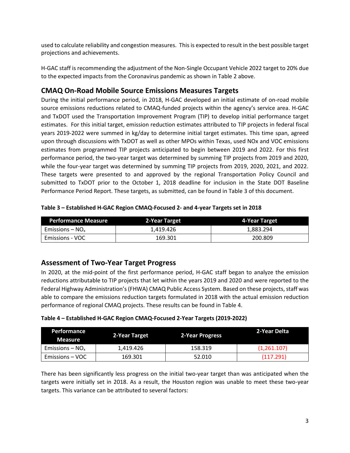used to calculate reliability and congestion measures. This is expected to result in the best possible target projections and achievements.

H-GAC staff is recommending the adjustment of the Non-Single Occupant Vehicle 2022 target to 20% due to the expected impacts from the Coronavirus pandemic as shown in Table 2 above.

## **CMAQ On-Road Mobile Source Emissions Measures Targets**

During the initial performance period, in 2018, H-GAC developed an initial estimate of on-road mobile source emissions reductions related to CMAQ-funded projects within the agency's service area. H-GAC and TxDOT used the Transportation Improvement Program (TIP) to develop initial performance target estimates. For this initial target, emission reduction estimates attributed to TIP projects in federal fiscal years 2019-2022 were summed in kg/day to determine initial target estimates. This time span, agreed upon through discussions with TxDOT as well as other MPOs within Texas, used NOx and VOC emissions estimates from programmed TIP projects anticipated to begin between 2019 and 2022. For this first performance period, the two-year target was determined by summing TIP projects from 2019 and 2020, while the four-year target was determined by summing TIP projects from 2019, 2020, 2021, and 2022. These targets were presented to and approved by the regional Transportation Policy Council and submitted to TxDOT prior to the October 1, 2018 deadline for inclusion in the State DOT Baseline Performance Period Report. These targets, as submitted, can be found in Table 3 of this document.

| <b>Performance Measure</b> | 2-Year Target | 4-Year Target |
|----------------------------|---------------|---------------|
| Emissions – $NO_{x}$       | 1.419.426     | 1.883.294     |
| Emissions - VOC            | 169.301       | 200.809       |

#### **Assessment of Two-Year Target Progress**

In 2020, at the mid-point of the first performance period, H-GAC staff began to analyze the emission reductions attributable to TIP projects that let within the years 2019 and 2020 and were reported to the Federal Highway Administration's (FHWA) CMAQ Public Access System. Based on these projects, staff was able to compare the emissions reduction targets formulated in 2018 with the actual emission reduction performance of regional CMAQ projects. These results can be found in Table 4.

| Table 4 - Established H-GAC Region CMAQ-Focused 2-Year Targets (2019-2022) |  |
|----------------------------------------------------------------------------|--|
|----------------------------------------------------------------------------|--|

| Performance<br><b>Measure</b> | 2-Year Target | 2-Year Progress | 2-Year Delta |  |  |
|-------------------------------|---------------|-----------------|--------------|--|--|
| Emissions – $NOx$             | 1.419.426     | 158.319         | (1,261.107)  |  |  |
| Emissions – VOC               | 169.301       | 52.010          | (117.291)    |  |  |

There has been significantly less progress on the initial two-year target than was anticipated when the targets were initially set in 2018. As a result, the Houston region was unable to meet these two-year targets. This variance can be attributed to several factors: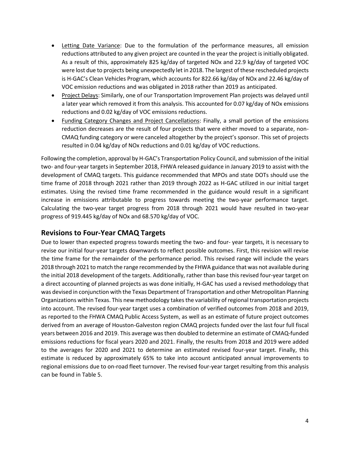- Letting Date Variance: Due to the formulation of the performance measures, all emission reductions attributed to any given project are counted in the year the project is initially obligated. As a result of this, approximately 825 kg/day of targeted NOx and 22.9 kg/day of targeted VOC were lost due to projects being unexpectedly let in 2018. The largest of these rescheduled projects is H-GAC's Clean Vehicles Program, which accounts for 822.66 kg/day of NOx and 22.46 kg/day of VOC emission reductions and was obligated in 2018 rather than 2019 as anticipated.
- Project Delays: Similarly, one of our Transportation Improvement Plan projects was delayed until a later year which removed it from this analysis. This accounted for 0.07 kg/day of NOx emissions reductions and 0.02 kg/day of VOC emissions reductions.
- Funding Category Changes and Project Cancellations: Finally, a small portion of the emissions reduction decreases are the result of four projects that were either moved to a separate, non-CMAQ funding category or were canceled altogether by the project's sponsor. This set of projects resulted in 0.04 kg/day of NOx reductions and 0.01 kg/day of VOC reductions.

Following the completion, approval by H-GAC's Transportation Policy Council, and submission of the initial two- and four-year targets in September 2018, FHWA released guidance in January 2019 to assist with the development of CMAQ targets. This guidance recommended that MPOs and state DOTs should use the time frame of 2018 through 2021 rather than 2019 through 2022 as H-GAC utilized in our initial target estimates. Using the revised time frame recommended in the guidance would result in a significant increase in emissions attributable to progress towards meeting the two-year performance target. Calculating the two-year target progress from 2018 through 2021 would have resulted in two-year progress of 919.445 kg/day of NOx and 68.570 kg/day of VOC.

#### **Revisions to Four-Year CMAQ Targets**

Due to lower than expected progress towards meeting the two- and four- year targets, it is necessary to revise our initial four-year targets downwards to reflect possible outcomes. First, this revision will revise the time frame for the remainder of the performance period. This revised range will include the years 2018 through 2021 to match the range recommended by the FHWA guidance that was not available during the initial 2018 development of the targets. Additionally, rather than base this revised four-year target on a direct accounting of planned projects as was done initially, H-GAC has used a revised methodology that was devised in conjunction with the Texas Department of Transportation and other Metropolitan Planning Organizations within Texas. This new methodology takesthe variability of regional transportation projects into account. The revised four-year target uses a combination of verified outcomes from 2018 and 2019, as reported to the FHWA CMAQ Public Access System, as well as an estimate of future project outcomes derived from an average of Houston-Galveston region CMAQ projects funded over the last four full fiscal years between 2016 and 2019. This average was then doubled to determine an estimate of CMAQ-funded emissions reductions for fiscal years 2020 and 2021. Finally, the results from 2018 and 2019 were added to the averages for 2020 and 2021 to determine an estimated revised four-year target. Finally, this estimate is reduced by approximately 65% to take into account anticipated annual improvements to regional emissions due to on-road fleet turnover. The revised four-year target resulting from this analysis can be found in Table 5.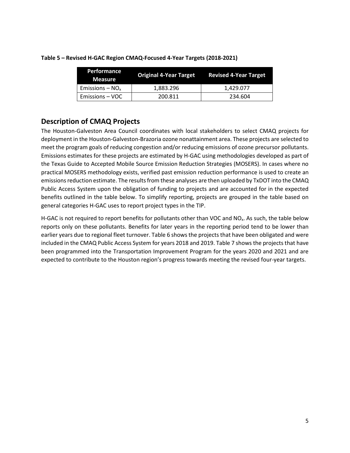| <b>Performance</b><br><b>Measure</b> | <b>Original 4-Year Target</b> | <b>Revised 4-Year Target</b> |
|--------------------------------------|-------------------------------|------------------------------|
| Emissions – $NOx$                    | 1,883.296                     | 1,429.077                    |
| Emissions – VOC                      | 200.811                       | 234.604                      |

#### **Table 5 – Revised H-GAC Region CMAQ-Focused 4-Year Targets (2018-2021)**

## **Description of CMAQ Projects**

The Houston-Galveston Area Council coordinates with local stakeholders to select CMAQ projects for deployment in the Houston-Galveston-Brazoria ozone nonattainment area. These projects are selected to meet the program goals of reducing congestion and/or reducing emissions of ozone precursor pollutants. Emissions estimates for these projects are estimated by H-GAC using methodologies developed as part of the Texas Guide to Accepted Mobile Source Emission Reduction Strategies (MOSERS). In cases where no practical MOSERS methodology exists, verified past emission reduction performance is used to create an emissions reduction estimate. The results from these analyses are then uploaded by TxDOT into the CMAQ Public Access System upon the obligation of funding to projects and are accounted for in the expected benefits outlined in the table below. To simplify reporting, projects are grouped in the table based on general categories H-GAC uses to report project types in the TIP.

H-GAC is not required to report benefits for pollutants other than VOC and  $NO<sub>x</sub>$ . As such, the table below reports only on these pollutants. Benefits for later years in the reporting period tend to be lower than earlier years due to regional fleet turnover. Table 6 shows the projects that have been obligated and were included in the CMAQ Public Access System for years 2018 and 2019. Table 7 shows the projects that have been programmed into the Transportation Improvement Program for the years 2020 and 2021 and are expected to contribute to the Houston region's progress towards meeting the revised four-year targets.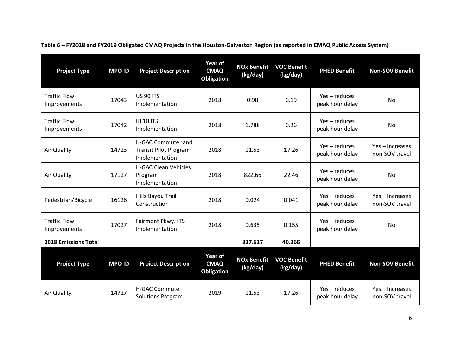| <b>Project Type</b>                 | <b>MPO ID</b> | <b>Project Description</b>                                                  | <b>Year of</b><br><b>CMAQ</b><br><b>Obligation</b> | <b>NOx Benefit</b><br>(kg/day) | <b>VOC Benefit</b><br>(kg/day) | <b>PHED Benefit</b>              | <b>Non-SOV Benefit</b>            |
|-------------------------------------|---------------|-----------------------------------------------------------------------------|----------------------------------------------------|--------------------------------|--------------------------------|----------------------------------|-----------------------------------|
| <b>Traffic Flow</b><br>Improvements | 17043         | <b>US 90 ITS</b><br>Implementation                                          | 2018                                               | 0.98                           | 0.19                           | Yes-reduces<br>peak hour delay   | <b>No</b>                         |
| <b>Traffic Flow</b><br>Improvements | 17042         | IH 10 ITS<br>Implementation                                                 | 2018                                               | 1.788                          | 0.26                           | Yes-reduces<br>peak hour delay   | No                                |
| Air Quality                         | 14723         | <b>H-GAC Commuter and</b><br><b>Transit Pilot Program</b><br>Implementation | 2018                                               | 11.53                          | 17.26                          | Yes – reduces<br>peak hour delay | Yes - Increases<br>non-SOV travel |
| Air Quality                         | 17127         | <b>H-GAC Clean Vehicles</b><br>Program<br>Implementation                    | 2018                                               | 822.66                         | 22.46                          | Yes-reduces<br>peak hour delay   | <b>No</b>                         |
| Pedestrian/Bicycle                  | 16126         | Hills Bayou Trail<br>Construction                                           | 2018                                               | 0.024                          | 0.041                          | Yes-reduces<br>peak hour delay   | Yes-Increases<br>non-SOV travel   |
| <b>Traffic Flow</b><br>Improvements | 17027         | Fairmont Pkwy. ITS<br>Implementation                                        | 2018                                               | 0.635                          | 0.155                          | Yes-reduces<br>peak hour delay   | <b>No</b>                         |
| <b>2018 Emissions Total</b>         |               |                                                                             |                                                    | 837.617                        | 40.366                         |                                  |                                   |
| <b>Project Type</b>                 | <b>MPO ID</b> | <b>Project Description</b>                                                  | Year of<br><b>CMAQ</b><br><b>Obligation</b>        | <b>NOx Benefit</b><br>(kg/day) | <b>VOC Benefit</b><br>(kg/day) | <b>PHED Benefit</b>              | <b>Non-SOV Benefit</b>            |
| Air Quality                         | 14727         | <b>H-GAC Commute</b><br><b>Solutions Program</b>                            | 2019                                               | 11.53                          | 17.26                          | Yes-reduces<br>peak hour delay   | Yes - Increases<br>non-SOV travel |

**Table 6 – FY2018 and FY2019 Obligated CMAQ Projects in the Houston-Galveston Region (as reported in CMAQ Public Access System)**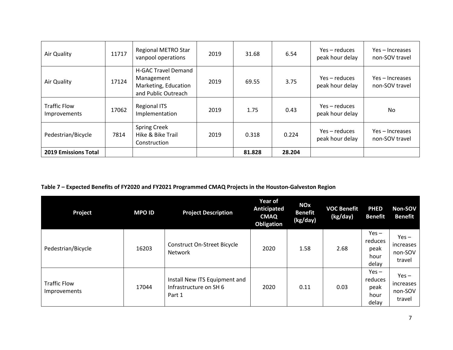| Air Quality                         | 11717 | Regional METRO Star<br>vanpool operations                                               | 2019 | 31.68  | 6.54   | $Yes - reduces$<br>peak hour delay | Yes – Increases<br>non-SOV travel |
|-------------------------------------|-------|-----------------------------------------------------------------------------------------|------|--------|--------|------------------------------------|-----------------------------------|
| Air Quality                         | 17124 | <b>H-GAC Travel Demand</b><br>Management<br>Marketing, Education<br>and Public Outreach | 2019 | 69.55  | 3.75   | Yes – reduces<br>peak hour delay   | Yes-Increases<br>non-SOV travel   |
| <b>Traffic Flow</b><br>Improvements | 17062 | <b>Regional ITS</b><br>Implementation                                                   | 2019 | 1.75   | 0.43   | Yes – reduces<br>peak hour delay   | No.                               |
| Pedestrian/Bicycle                  | 7814  | <b>Spring Creek</b><br>Hike & Bike Trail<br>Construction                                | 2019 | 0.318  | 0.224  | Yes – reduces<br>peak hour delay   | Yes - Increases<br>non-SOV travel |
| <b>2019 Emissions Total</b>         |       |                                                                                         |      | 81.828 | 28.204 |                                    |                                   |

#### **Table 7 – Expected Benefits of FY2020 and FY2021 Programmed CMAQ Projects in the Houston-Galveston Region**

| Project                             | <b>MPO ID</b> | <b>Project Description</b>                                        | Year of<br><b>Anticipated</b><br><b>CMAQ</b><br><b>Obligation</b> | <b>NOx</b><br><b>Benefit</b><br>(kg/day) | <b>VOC Benefit</b><br>(kg/day) | <b>PHED</b><br><b>Benefit</b>               | Non-SOV<br>Benefit                        |
|-------------------------------------|---------------|-------------------------------------------------------------------|-------------------------------------------------------------------|------------------------------------------|--------------------------------|---------------------------------------------|-------------------------------------------|
| Pedestrian/Bicycle                  | 16203         | <b>Construct On-Street Bicycle</b><br>Network                     | 2020                                                              | 1.58                                     | 2.68                           | $Yes -$<br>reduces<br>peak<br>hour<br>delay | $Yes -$<br>increases<br>non-SOV<br>travel |
| <b>Traffic Flow</b><br>Improvements | 17044         | Install New ITS Equipment and<br>Infrastructure on SH 6<br>Part 1 | 2020                                                              | 0.11                                     | 0.03                           | $Yes -$<br>reduces<br>peak<br>hour<br>delay | $Yes -$<br>increases<br>non-SOV<br>travel |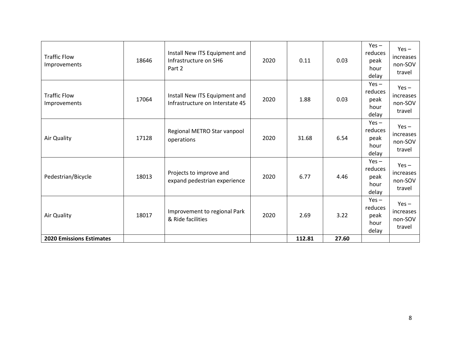| <b>Traffic Flow</b><br>Improvements        | 18646 | Install New ITS Equipment and<br>Infrastructure on SH6<br>Part 2 | 2020 | 0.11   | 0.03  | $Yes -$<br>reduces<br>peak<br>hour<br>delay | $Yes -$<br>increases<br>non-SOV<br>travel |
|--------------------------------------------|-------|------------------------------------------------------------------|------|--------|-------|---------------------------------------------|-------------------------------------------|
| <b>Traffic Flow</b><br><b>Improvements</b> | 17064 | Install New ITS Equipment and<br>Infrastructure on Interstate 45 | 2020 | 1.88   | 0.03  | $Yes -$<br>reduces<br>peak<br>hour<br>delay | $Yes -$<br>increases<br>non-SOV<br>travel |
| Air Quality                                | 17128 | Regional METRO Star vanpool<br>operations                        | 2020 | 31.68  | 6.54  | $Yes -$<br>reduces<br>peak<br>hour<br>delay | $Yes -$<br>increases<br>non-SOV<br>travel |
| Pedestrian/Bicycle                         | 18013 | Projects to improve and<br>expand pedestrian experience          | 2020 | 6.77   | 4.46  | $Yes -$<br>reduces<br>peak<br>hour<br>delay | $Yes -$<br>increases<br>non-SOV<br>travel |
| Air Quality                                | 18017 | Improvement to regional Park<br>& Ride facilities                | 2020 | 2.69   | 3.22  | $Yes -$<br>reduces<br>peak<br>hour<br>delay | $Yes -$<br>increases<br>non-SOV<br>travel |
| <b>2020 Emissions Estimates</b>            |       |                                                                  |      | 112.81 | 27.60 |                                             |                                           |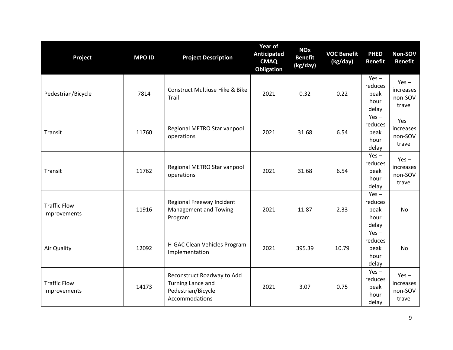| Project                             | <b>MPO ID</b> | <b>Project Description</b>                                                              | Year of<br>Anticipated<br><b>CMAQ</b><br>Obligation | <b>NO<sub>x</sub></b><br><b>Benefit</b><br>(kg/day) | <b>VOC Benefit</b><br>(kg/day) | <b>PHED</b><br><b>Benefit</b>               | Non-SOV<br><b>Benefit</b>                 |
|-------------------------------------|---------------|-----------------------------------------------------------------------------------------|-----------------------------------------------------|-----------------------------------------------------|--------------------------------|---------------------------------------------|-------------------------------------------|
| Pedestrian/Bicycle                  | 7814          | Construct Multiuse Hike & Bike<br>Trail                                                 | 2021                                                | 0.32                                                | 0.22                           | $Yes -$<br>reduces<br>peak<br>hour<br>delay | $Yes -$<br>increases<br>non-SOV<br>travel |
| Transit                             | 11760         | Regional METRO Star vanpool<br>operations                                               | 2021                                                | 31.68                                               | 6.54                           | $Yes -$<br>reduces<br>peak<br>hour<br>delay | $Yes -$<br>increases<br>non-SOV<br>travel |
| Transit                             | 11762         | Regional METRO Star vanpool<br>operations                                               | 2021                                                | 31.68                                               | 6.54                           | $Yes -$<br>reduces<br>peak<br>hour<br>delay | $Yes -$<br>increases<br>non-SOV<br>travel |
| <b>Traffic Flow</b><br>Improvements | 11916         | Regional Freeway Incident<br>Management and Towing<br>Program                           | 2021                                                | 11.87                                               | 2.33                           | $Yes -$<br>reduces<br>peak<br>hour<br>delay | <b>No</b>                                 |
| Air Quality                         | 12092         | H-GAC Clean Vehicles Program<br>Implementation                                          | 2021                                                | 395.39                                              | 10.79                          | $Yes -$<br>reduces<br>peak<br>hour<br>delay | <b>No</b>                                 |
| <b>Traffic Flow</b><br>Improvements | 14173         | Reconstruct Roadway to Add<br>Turning Lance and<br>Pedestrian/Bicycle<br>Accommodations | 2021                                                | 3.07                                                | 0.75                           | $Yes -$<br>reduces<br>peak<br>hour<br>delay | $Yes -$<br>increases<br>non-SOV<br>travel |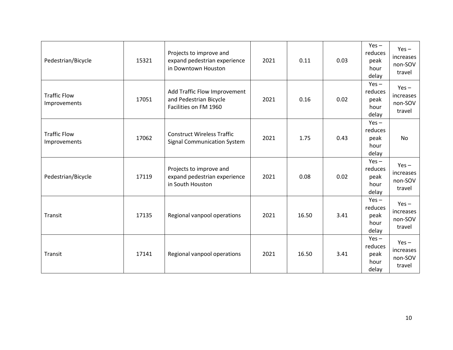| Pedestrian/Bicycle                  | 15321 | Projects to improve and<br>expand pedestrian experience<br>in Downtown Houston  | 2021 | 0.11  | 0.03 | $Yes -$<br>reduces<br>peak<br>hour<br>delay | $Yes -$<br>increases<br>non-SOV<br>travel |
|-------------------------------------|-------|---------------------------------------------------------------------------------|------|-------|------|---------------------------------------------|-------------------------------------------|
| <b>Traffic Flow</b><br>Improvements | 17051 | Add Traffic Flow Improvement<br>and Pedestrian Bicycle<br>Facilities on FM 1960 | 2021 | 0.16  | 0.02 | $Yes -$<br>reduces<br>peak<br>hour<br>delay | $Yes -$<br>increases<br>non-SOV<br>travel |
| <b>Traffic Flow</b><br>Improvements | 17062 | <b>Construct Wireless Traffic</b><br><b>Signal Communication System</b>         | 2021 | 1.75  | 0.43 | $Yes -$<br>reduces<br>peak<br>hour<br>delay | <b>No</b>                                 |
| Pedestrian/Bicycle                  | 17119 | Projects to improve and<br>expand pedestrian experience<br>in South Houston     | 2021 | 0.08  | 0.02 | $Yes -$<br>reduces<br>peak<br>hour<br>delay | $Yes -$<br>increases<br>non-SOV<br>travel |
| Transit                             | 17135 | Regional vanpool operations                                                     | 2021 | 16.50 | 3.41 | $Yes -$<br>reduces<br>peak<br>hour<br>delay | $Yes -$<br>increases<br>non-SOV<br>travel |
| Transit                             | 17141 | Regional vanpool operations                                                     | 2021 | 16.50 | 3.41 | $Yes -$<br>reduces<br>peak<br>hour<br>delay | $Yes -$<br>increases<br>non-SOV<br>travel |